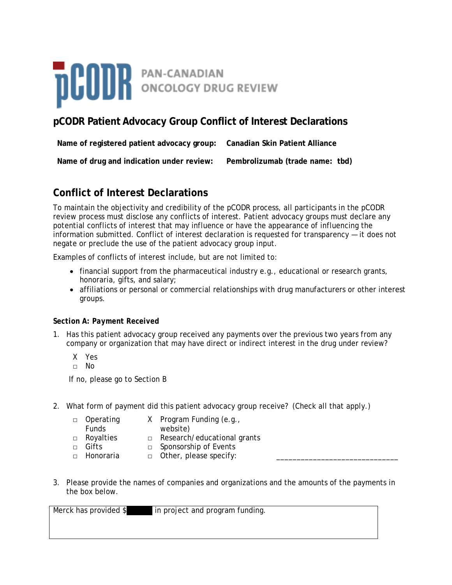

# **pCODR Patient Advocacy Group Conflict of Interest Declarations**

| Name of registered patient advocacy group: | Canadian Skin Patient Alliance  |
|--------------------------------------------|---------------------------------|
| Name of drug and indication under review:  | Pembrolizumab (trade name: tbd) |

# **Conflict of Interest Declarations**

To maintain the objectivity and credibility of the pCODR process, all participants in the pCODR review process must disclose any conflicts of interest. Patient advocacy groups must declare any potential conflicts of interest that may influence or have the appearance of influencing the information submitted. Conflict of interest declaration is requested for transparency — it does not negate or preclude the use of the patient advocacy group input.

Examples of conflicts of interest include, but are not limited to:

- financial support from the pharmaceutical industry e.g., educational or research grants, honoraria, gifts, and salary;
- affiliations or personal or commercial relationships with drug manufacturers or other interest groups.

### *Section A: Payment Received*

- 1. Has this patient advocacy group received any payments over the previous two years from any company or organization that may have direct or indirect interest in the drug under review?
	- X Yes
	- □ No

If no, please go to Section B

2. What form of payment did this patient advocacy group receive? (Check all that apply.)

| □ Operating  | X Program Funding (e.g.,           |
|--------------|------------------------------------|
| <b>Funds</b> | website)                           |
| □ Royalties  | $\Box$ Research/educational grants |
| $\Box$ Gifts | □ Sponsorship of Events            |
| □ Honoraria  | $\Box$ Other, please specify:      |

3. Please provide the names of companies and organizations and the amounts of the payments in the box below.

Merck has provided \$ in project and program funding.